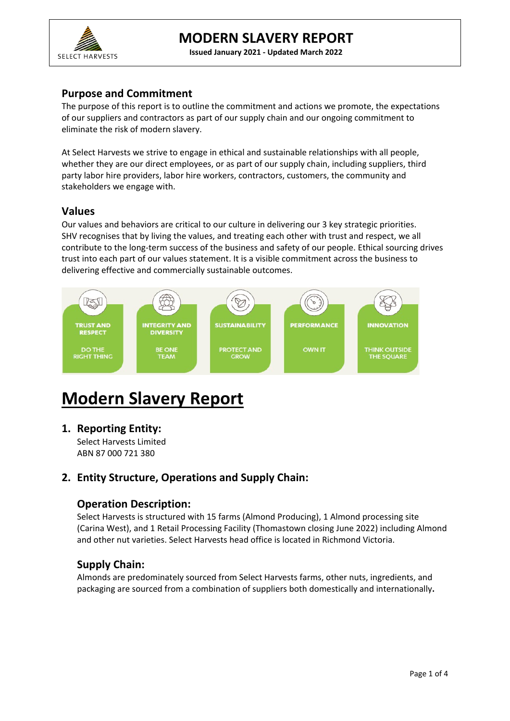

**Issued January 2021 - Updated March 2022** 

### **Purpose and Commitment**

The purpose of this report is to outline the commitment and actions we promote, the expectations of our suppliers and contractors as part of our supply chain and our ongoing commitment to eliminate the risk of modern slavery.

At Select Harvests we strive to engage in ethical and sustainable relationships with all people, whether they are our direct employees, or as part of our supply chain, including suppliers, third party labor hire providers, labor hire workers, contractors, customers, the community and stakeholders we engage with.

### **Values**

Our values and behaviors are critical to our culture in delivering our 3 key strategic priorities. SHV recognises that by living the values, and treating each other with trust and respect, we all contribute to the long-term success of the business and safety of our people. Ethical sourcing drives trust into each part of our values statement. It is a visible commitment across the business to delivering effective and commercially sustainable outcomes.



# **Modern Slavery Report**

**1. Reporting Entity:**

Select Harvests Limited ABN 87 000 721 380

# **2. Entity Structure, Operations and Supply Chain:**

### **Operation Description:**

Select Harvests is structured with 15 farms (Almond Producing), 1 Almond processing site (Carina West), and 1 Retail Processing Facility (Thomastown closing June 2022) including Almond and other nut varieties. Select Harvests head office is located in Richmond Victoria.

# **Supply Chain:**

Almonds are predominately sourced from Select Harvests farms, other nuts, ingredients, and packaging are sourced from a combination of suppliers both domestically and internationally**.**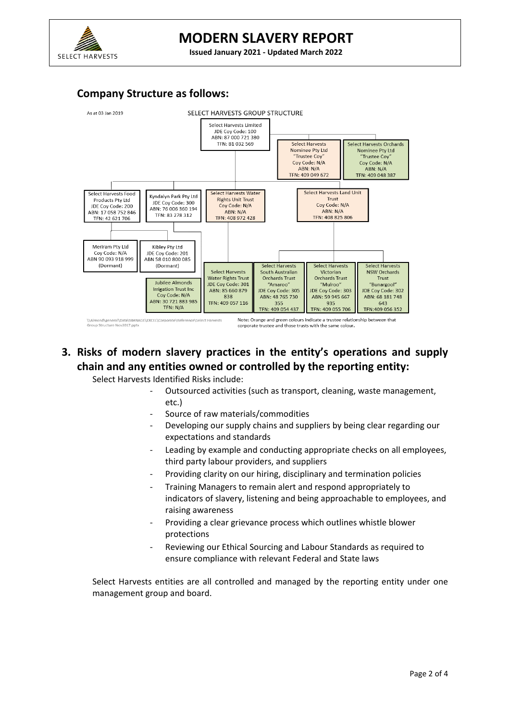

# **MODERN SLAVERY REPORT**

**Issued January 2021 - Updated March 2022** 

#### **Company Structure as follows:**



# **3. Risks of modern slavery practices in the entity's operations and supply chain and any entities owned or controlled by the reporting entity:**

Select Harvests Identified Risks include:

- Outsourced activities (such as transport, cleaning, waste management, etc.)
- Source of raw materials/commodities
- Developing our supply chains and suppliers by being clear regarding our expectations and standards
- Leading by example and conducting appropriate checks on all employees. third party labour providers, and suppliers
- Providing clarity on our hiring, disciplinary and termination policies
- Training Managers to remain alert and respond appropriately to indicators of slavery, listening and being approachable to employees, and raising awareness
- Providing a clear grievance process which outlines whistle blower protections
- Reviewing our Ethical Sourcing and Labour Standards as required to ensure compliance with relevant Federal and State laws

Select Harvests entities are all controlled and managed by the reporting entity under one management group and board.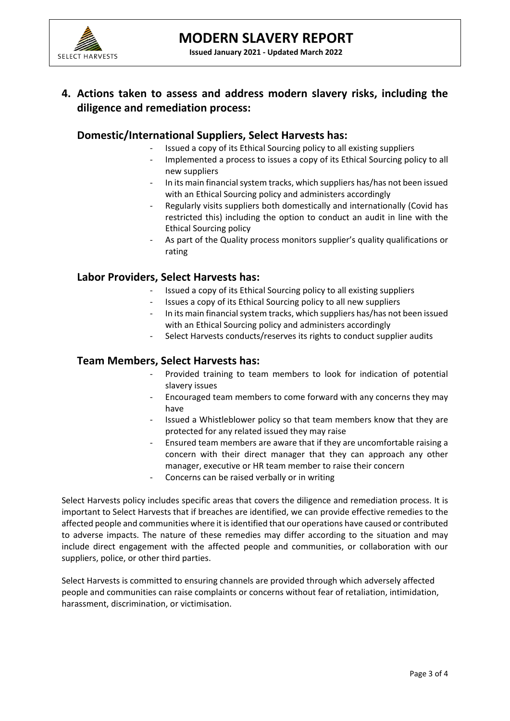

# **4. Actions taken to assess and address modern slavery risks, including the diligence and remediation process:**

### **Domestic/International Suppliers, Select Harvests has:**

- Issued a copy of its Ethical Sourcing policy to all existing suppliers
- Implemented a process to issues a copy of its Ethical Sourcing policy to all new suppliers
- In its main financial system tracks, which suppliers has/has not been issued with an Ethical Sourcing policy and administers accordingly
- Regularly visits suppliers both domestically and internationally (Covid has restricted this) including the option to conduct an audit in line with the Ethical Sourcing policy
- As part of the Quality process monitors supplier's quality qualifications or rating

### **Labor Providers, Select Harvests has:**

- Issued a copy of its Ethical Sourcing policy to all existing suppliers
- Issues a copy of its Ethical Sourcing policy to all new suppliers
- In its main financial system tracks, which suppliers has/has not been issued with an Ethical Sourcing policy and administers accordingly
- Select Harvests conducts/reserves its rights to conduct supplier audits

### **Team Members, Select Harvests has:**

- Provided training to team members to look for indication of potential slavery issues
- Encouraged team members to come forward with any concerns they may have
- Issued a Whistleblower policy so that team members know that they are protected for any related issued they may raise
- Ensured team members are aware that if they are uncomfortable raising a concern with their direct manager that they can approach any other manager, executive or HR team member to raise their concern
- Concerns can be raised verbally or in writing

Select Harvests policy includes specific areas that covers the diligence and remediation process. It is important to Select Harvests that if breaches are identified, we can provide effective remedies to the affected people and communities where it is identified that our operations have caused or contributed to adverse impacts. The nature of these remedies may differ according to the situation and may include direct engagement with the affected people and communities, or collaboration with our suppliers, police, or other third parties.

Select Harvests is committed to ensuring channels are provided through which adversely affected people and communities can raise complaints or concerns without fear of retaliation, intimidation, harassment, discrimination, or victimisation.